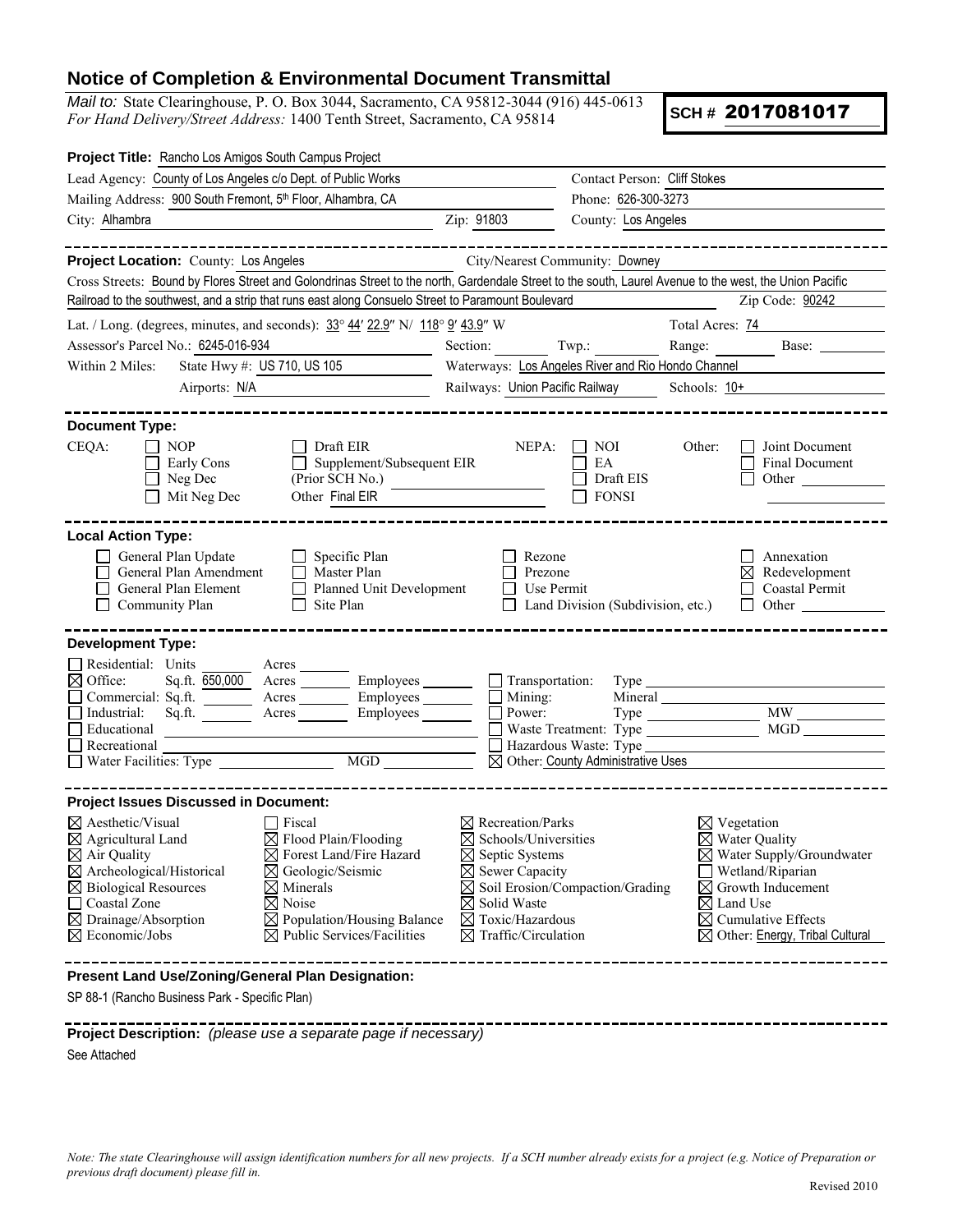## **Notice of Completion & Environmental Document Transmittal**

*Mail to:* State Clearinghouse, P. O. Box 3044, Sacramento, CA 95812-3044 (916) 445-0613 *For Hand Delivery/Street Address:* 1400 Tenth Street, Sacramento, CA 95814

**SCH #** 2017081017

| Project Title: Rancho Los Amigos South Campus Project                                                                                                                                                                                                                                                                                                                                                                                                                                                                                                                    |                                                                                                        |                                                                                                                                                                                                                                                                          |                                                  |                                                                                                                                                                                                                                                          |                                                        |
|--------------------------------------------------------------------------------------------------------------------------------------------------------------------------------------------------------------------------------------------------------------------------------------------------------------------------------------------------------------------------------------------------------------------------------------------------------------------------------------------------------------------------------------------------------------------------|--------------------------------------------------------------------------------------------------------|--------------------------------------------------------------------------------------------------------------------------------------------------------------------------------------------------------------------------------------------------------------------------|--------------------------------------------------|----------------------------------------------------------------------------------------------------------------------------------------------------------------------------------------------------------------------------------------------------------|--------------------------------------------------------|
| Lead Agency: County of Los Angeles c/o Dept. of Public Works                                                                                                                                                                                                                                                                                                                                                                                                                                                                                                             |                                                                                                        |                                                                                                                                                                                                                                                                          | Contact Person: Cliff Stokes                     |                                                                                                                                                                                                                                                          |                                                        |
| Mailing Address: 900 South Fremont, 5th Floor, Alhambra, CA                                                                                                                                                                                                                                                                                                                                                                                                                                                                                                              |                                                                                                        | Phone: 626-300-3273                                                                                                                                                                                                                                                      |                                                  |                                                                                                                                                                                                                                                          |                                                        |
| City: Alhambra                                                                                                                                                                                                                                                                                                                                                                                                                                                                                                                                                           | Zip: 91803<br>County: Los Angeles                                                                      |                                                                                                                                                                                                                                                                          |                                                  |                                                                                                                                                                                                                                                          |                                                        |
|                                                                                                                                                                                                                                                                                                                                                                                                                                                                                                                                                                          |                                                                                                        |                                                                                                                                                                                                                                                                          |                                                  |                                                                                                                                                                                                                                                          |                                                        |
| Project Location: County: Los Angeles                                                                                                                                                                                                                                                                                                                                                                                                                                                                                                                                    |                                                                                                        |                                                                                                                                                                                                                                                                          | City/Nearest Community: Downey                   |                                                                                                                                                                                                                                                          |                                                        |
| Cross Streets: Bound by Flores Street and Golondrinas Street to the north, Gardendale Street to the south, Laurel Avenue to the west, the Union Pacific                                                                                                                                                                                                                                                                                                                                                                                                                  |                                                                                                        |                                                                                                                                                                                                                                                                          |                                                  |                                                                                                                                                                                                                                                          |                                                        |
| Railroad to the southwest, and a strip that runs east along Consuelo Street to Paramount Boulevard                                                                                                                                                                                                                                                                                                                                                                                                                                                                       |                                                                                                        |                                                                                                                                                                                                                                                                          |                                                  |                                                                                                                                                                                                                                                          | Zip Code: 90242                                        |
| Lat. / Long. (degrees, minutes, and seconds): $33^{\circ}$ 44' 22.9" N/ 118° 9' 43.9" W                                                                                                                                                                                                                                                                                                                                                                                                                                                                                  |                                                                                                        |                                                                                                                                                                                                                                                                          | Total Acres: 74                                  |                                                                                                                                                                                                                                                          |                                                        |
| Assessor's Parcel No.: 6245-016-934                                                                                                                                                                                                                                                                                                                                                                                                                                                                                                                                      | Section:                                                                                               | Twp.:                                                                                                                                                                                                                                                                    | Range:                                           | Base:                                                                                                                                                                                                                                                    |                                                        |
| State Hwy #: US 710, US 105<br>Within 2 Miles:                                                                                                                                                                                                                                                                                                                                                                                                                                                                                                                           | Waterways: Los Angeles River and Rio Hondo Channel                                                     |                                                                                                                                                                                                                                                                          |                                                  |                                                                                                                                                                                                                                                          |                                                        |
| Airports: N/A                                                                                                                                                                                                                                                                                                                                                                                                                                                                                                                                                            |                                                                                                        | Railways: Union Pacific Railway                                                                                                                                                                                                                                          |                                                  | Schools: $10+$                                                                                                                                                                                                                                           |                                                        |
|                                                                                                                                                                                                                                                                                                                                                                                                                                                                                                                                                                          |                                                                                                        |                                                                                                                                                                                                                                                                          |                                                  |                                                                                                                                                                                                                                                          |                                                        |
| <b>Document Type:</b><br>CEQA:<br><b>NOP</b><br>Early Cons<br>Neg Dec<br>$\Box$ Mit Neg Dec                                                                                                                                                                                                                                                                                                                                                                                                                                                                              | Draft EIR<br>Supplement/Subsequent EIR<br>$\Box$<br>(Prior SCH No.)<br>Other Final EIR                 | NEPA:                                                                                                                                                                                                                                                                    | $\vert$   NOI<br>EA<br>Draft EIS<br><b>FONSI</b> | Other:                                                                                                                                                                                                                                                   | Joint Document<br><b>Final Document</b><br>Other       |
| <b>Local Action Type:</b><br>General Plan Update<br>General Plan Amendment<br>General Plan Element<br>Community Plan                                                                                                                                                                                                                                                                                                                                                                                                                                                     | $\Box$ Specific Plan<br>Master Plan<br>$\perp$<br>Planned Unit Development<br>$\Box$<br>Site Plan<br>П | Rezone<br>Prezone<br>Use Permit                                                                                                                                                                                                                                          | Land Division (Subdivision, etc.)                |                                                                                                                                                                                                                                                          | Annexation<br>Redevelopment<br>Coastal Permit<br>Other |
| <b>Development Type:</b>                                                                                                                                                                                                                                                                                                                                                                                                                                                                                                                                                 |                                                                                                        |                                                                                                                                                                                                                                                                          |                                                  |                                                                                                                                                                                                                                                          |                                                        |
| Residential: Units<br>$\boxtimes$ Office:<br>Commercial: Sq.ft.<br>$\Box$ Industrial:<br>Sq <sub>.ft.</sub><br>Educational<br>$\Box$ Recreational                                                                                                                                                                                                                                                                                                                                                                                                                        | Sq.ft. 650,000 Acres __________ Employees ________<br>Employees _______<br>Acres<br>Acres Employees    | $\Box$ Transportation:<br>$\Box$ Mining:<br>Power:                                                                                                                                                                                                                       | ⊠ Other: County Administrative Uses              |                                                                                                                                                                                                                                                          | <b>MGD</b>                                             |
|                                                                                                                                                                                                                                                                                                                                                                                                                                                                                                                                                                          |                                                                                                        |                                                                                                                                                                                                                                                                          |                                                  |                                                                                                                                                                                                                                                          |                                                        |
| <b>Project Issues Discussed in Document:</b><br>$\boxtimes$ Aesthetic/Visual<br>$\Box$ Fiscal<br>$\boxtimes$ Flood Plain/Flooding<br>$\boxtimes$ Agricultural Land<br>$\boxtimes$ Air Quality<br>$\boxtimes$ Forest Land/Fire Hazard<br>$\boxtimes$ Archeological/Historical<br>$\boxtimes$ Geologic/Seismic<br>$\boxtimes$ Biological Resources<br>$\boxtimes$ Minerals<br>$\boxtimes$ Noise<br>$\Box$ Coastal Zone<br>$\boxtimes$ Drainage/Absorption<br>$\boxtimes$ Population/Housing Balance<br>$\boxtimes$ Economic/Jobs<br>$\boxtimes$ Public Services/Facilities |                                                                                                        | $\boxtimes$ Recreation/Parks<br>$\boxtimes$ Schools/Universities<br>$\boxtimes$ Septic Systems<br>$\boxtimes$ Sewer Capacity<br>$\boxtimes$ Soil Erosion/Compaction/Grading<br>$\boxtimes$ Solid Waste<br>$\boxtimes$ Toxic/Hazardous<br>$\boxtimes$ Traffic/Circulation |                                                  | $\boxtimes$ Vegetation<br>$\boxtimes$ Water Quality<br>$\boxtimes$ Water Supply/Groundwater<br>Wetland/Riparian<br>$\boxtimes$ Growth Inducement<br>$\boxtimes$ Land Use<br>$\boxtimes$ Cumulative Effects<br>$\boxtimes$ Other: Energy, Tribal Cultural |                                                        |
| Present Land Use/Zoning/General Plan Designation:<br>SP 88-1 (Rancho Business Park - Specific Plan)                                                                                                                                                                                                                                                                                                                                                                                                                                                                      |                                                                                                        |                                                                                                                                                                                                                                                                          |                                                  |                                                                                                                                                                                                                                                          |                                                        |
|                                                                                                                                                                                                                                                                                                                                                                                                                                                                                                                                                                          |                                                                                                        |                                                                                                                                                                                                                                                                          |                                                  |                                                                                                                                                                                                                                                          |                                                        |

**Project Description:** *(please use a separate page if necessary)*

See Attached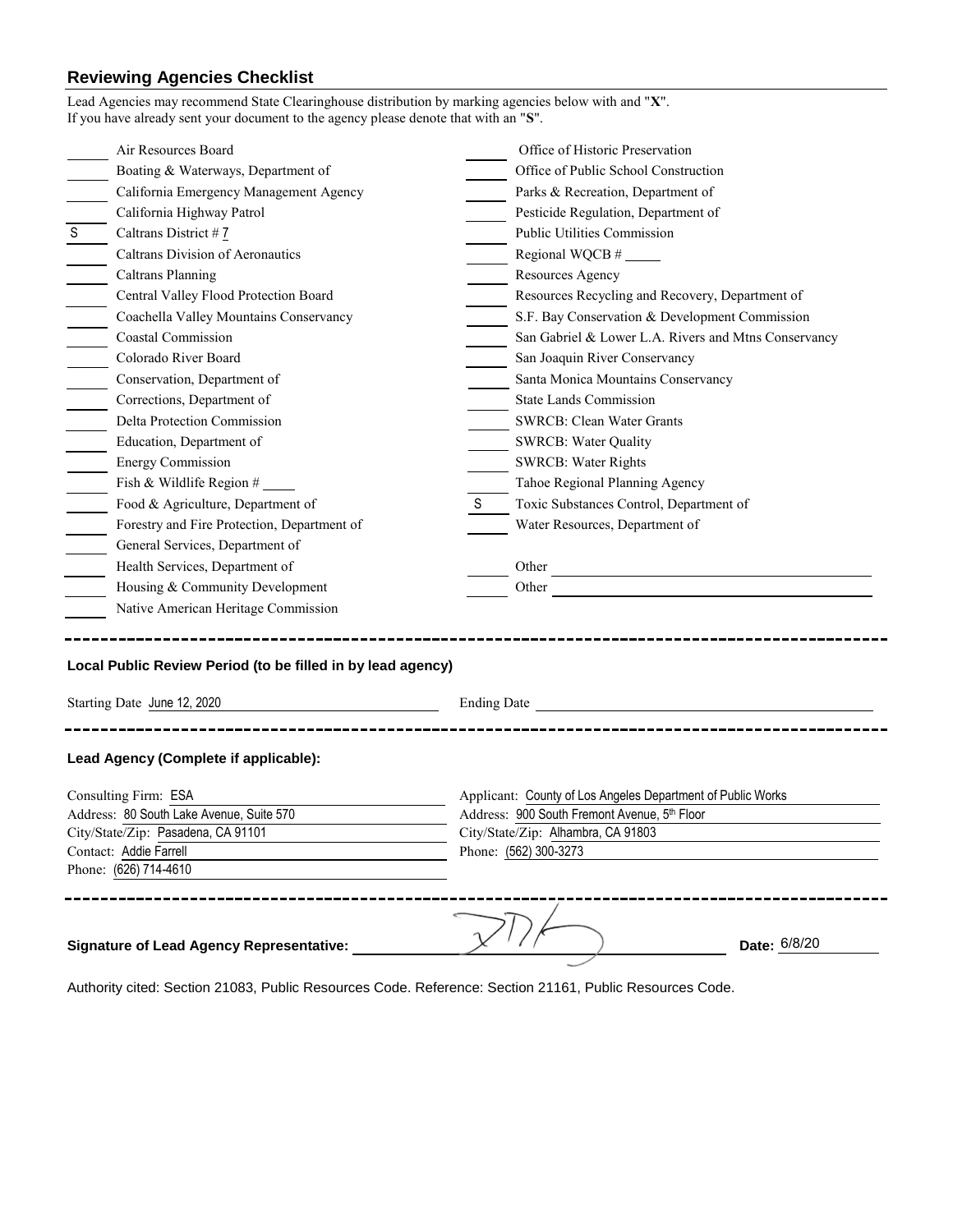## **Reviewing Agencies Checklist**

|                                  | Lead Agencies may recommend State Clearinghouse distribution by marking agencies below with and "X".<br>If you have already sent your document to the agency please denote that with an "S". |    |                                                                                                                                                                                                                                      |  |  |
|----------------------------------|----------------------------------------------------------------------------------------------------------------------------------------------------------------------------------------------|----|--------------------------------------------------------------------------------------------------------------------------------------------------------------------------------------------------------------------------------------|--|--|
|                                  | Air Resources Board                                                                                                                                                                          |    | Office of Historic Preservation                                                                                                                                                                                                      |  |  |
|                                  | Boating & Waterways, Department of                                                                                                                                                           |    | Office of Public School Construction                                                                                                                                                                                                 |  |  |
|                                  | California Emergency Management Agency                                                                                                                                                       |    | Parks & Recreation, Department of                                                                                                                                                                                                    |  |  |
|                                  | California Highway Patrol                                                                                                                                                                    |    | Pesticide Regulation, Department of                                                                                                                                                                                                  |  |  |
| S                                | Caltrans District # 7                                                                                                                                                                        |    | Public Utilities Commission                                                                                                                                                                                                          |  |  |
|                                  | Caltrans Division of Aeronautics                                                                                                                                                             |    |                                                                                                                                                                                                                                      |  |  |
|                                  | <b>Caltrans Planning</b>                                                                                                                                                                     |    | Resources Agency                                                                                                                                                                                                                     |  |  |
|                                  | Central Valley Flood Protection Board                                                                                                                                                        |    | Resources Recycling and Recovery, Department of                                                                                                                                                                                      |  |  |
|                                  | Coachella Valley Mountains Conservancy                                                                                                                                                       |    | S.F. Bay Conservation & Development Commission                                                                                                                                                                                       |  |  |
|                                  | Coastal Commission                                                                                                                                                                           |    | San Gabriel & Lower L.A. Rivers and Mtns Conservancy                                                                                                                                                                                 |  |  |
| $\equiv$                         | Colorado River Board                                                                                                                                                                         |    | San Joaquin River Conservancy                                                                                                                                                                                                        |  |  |
| $\overline{\phantom{a}}$         | Conservation, Department of                                                                                                                                                                  |    | Santa Monica Mountains Conservancy                                                                                                                                                                                                   |  |  |
|                                  | Corrections, Department of                                                                                                                                                                   |    | <b>State Lands Commission</b>                                                                                                                                                                                                        |  |  |
|                                  | Delta Protection Commission                                                                                                                                                                  |    | SWRCB: Clean Water Grants                                                                                                                                                                                                            |  |  |
|                                  | Education, Department of                                                                                                                                                                     |    | <b>SWRCB: Water Quality</b>                                                                                                                                                                                                          |  |  |
| $\frac{1}{1}$                    | <b>Energy Commission</b>                                                                                                                                                                     |    | <b>SWRCB: Water Rights</b>                                                                                                                                                                                                           |  |  |
|                                  | Fish & Wildlife Region $#$                                                                                                                                                                   |    | Tahoe Regional Planning Agency                                                                                                                                                                                                       |  |  |
| $\equiv$                         | Food & Agriculture, Department of                                                                                                                                                            | S. | Toxic Substances Control, Department of                                                                                                                                                                                              |  |  |
|                                  | Forestry and Fire Protection, Department of                                                                                                                                                  |    | Water Resources, Department of                                                                                                                                                                                                       |  |  |
| $\frac{1}{\sqrt{1-\frac{1}{2}}}$ | General Services, Department of                                                                                                                                                              |    |                                                                                                                                                                                                                                      |  |  |
|                                  | Health Services, Department of                                                                                                                                                               |    |                                                                                                                                                                                                                                      |  |  |
|                                  | Housing & Community Development                                                                                                                                                              |    | Other <u>and the series of the series of the series of the series of the series of the series of the series of the series of the series of the series of the series of the series of the series of the series of the series of t</u> |  |  |
|                                  | Native American Heritage Commission                                                                                                                                                          |    |                                                                                                                                                                                                                                      |  |  |
|                                  | Local Public Review Period (to be filled in by lead agency)                                                                                                                                  |    |                                                                                                                                                                                                                                      |  |  |
| Starting Date June 12, 2020      |                                                                                                                                                                                              |    | Ending Date by the state of the state of the state of the state of the state of the state of the state of the state of the state of the state of the state of the state of the state of the state of the state of the state of       |  |  |
|                                  | Lead Agency (Complete if applicable):<br>Consulting Firm: ESA<br>Address: 80 South Lake Avenue, Suite 570<br>City/State/Zip: Pasadena, CA 91101                                              |    | Applicant: County of Los Angeles Department of Public Works<br>Address: 900 South Fremont Avenue, 5th Floor<br>City/State/Zip: Alhambra, CA 91803                                                                                    |  |  |
|                                  | Contact: Addie Farrell<br>Phone: (626) 714-4610                                                                                                                                              |    | Phone: (562) 300-3273                                                                                                                                                                                                                |  |  |
|                                  | <b>Signature of Lead Agency Representative:</b>                                                                                                                                              |    | Date: 6/8/20                                                                                                                                                                                                                         |  |  |

Authority cited: Section 21083, Public Resources Code. Reference: Section 21161, Public Resources Code.